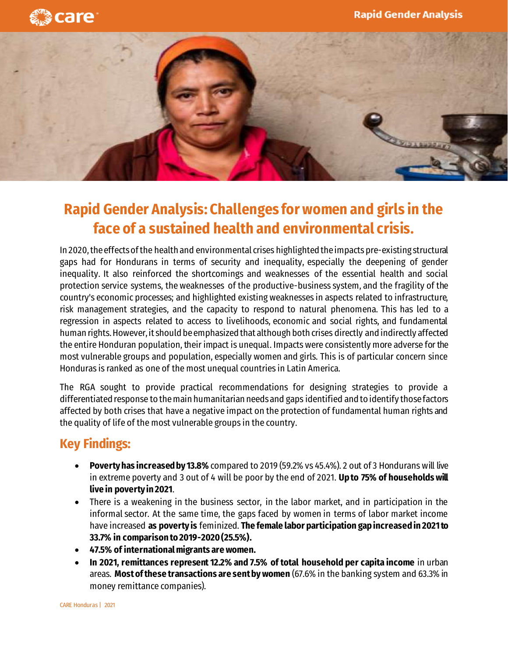



## **Rapid Gender Analysis: Challenges for women and girls in the face of a sustained health and environmental crisis.**

In 2020, the effects of the health and environmental crises highlighted the impacts pre-existing structural gaps had for Hondurans in terms of security and inequality, especially the deepening of gender inequality. It also reinforced the shortcomings and weaknesses of the essential health and social protection service systems, the weaknesses of the productive-business system, and the fragility of the country's economic processes; and highlighted existing weaknesses in aspects related to infrastructure, risk management strategies, and the capacity to respond to natural phenomena. This has led to a regression in aspects related to access to livelihoods, economic and social rights, and fundamental human rights. However, it should be emphasized that although both crises directly and indirectly affected the entire Honduran population, their impact is unequal. Impacts were consistently more adverse for the most vulnerable groups and population, especially women and girls. This is of particular concern since Honduras is ranked as one of the most unequal countries in Latin America.

The RGA sought to provide practical recommendations for designing strategies to provide a differentiated response to the main humanitarian needs and gaps identified and to identify those factors affected by both crises that have a negative impact on the protection of fundamental human rights and the quality of life of the most vulnerable groups in the country.

## **Key Findings:**

- **Poverty has increased by 13.8%** compared to 2019 (59.2% vs 45.4%). 2 out of 3 Hondurans will live in extreme poverty and 3 out of 4 will be poor by the end of 2021. **Up to 75% of households will live in poverty in 2021**.
- There is a weakening in the business sector, in the labor market, and in participation in the informal sector. At the same time, the gaps faced by women in terms of labor market income have increased **as poverty is** feminized. **The female labor participation gap increased in 2021 to 33.7% in comparison to 2019-2020 (25.5%).**
- **47.5% of international migrants are women.**
- **In 2021, remittances represent 12.2% and 7.5% of total household per capita income** in urban areas. **Most of these transactions are sent by women** (67.6% in the banking system and 63.3% in money remittance companies).